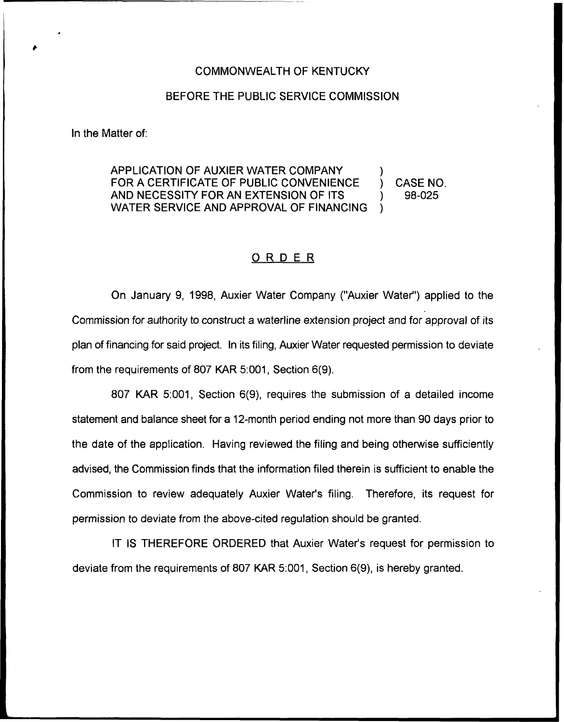## COMMONWEALTH OF KENTUCKY

## BEFORE THE PUBLIC SERVICE COMMISSION

In the Matter of:

APPLICATION OF AUXIER WATER COMPANY FOR A CERTIFICATE OF PUBLIC CONVENIENCE (3) CASE NO.<br>AND NECESSITY FOR AN EXTENSION OF ITS (3) 98-025 AND NECESSITY FOR AN EXTENSION OF ITS WATER SERVICE AND APPROVAL OF FINANCING

## ORDER

On January 9, 1998, Auxier Water Company ("Auxier Water") applied to the Commission for authority to construct a waterline extension project and for approval of its plan of financing for said project. In its filing, Auxier Water requested permission to deviate from the requirements of 807 KAR 5:001, Section 6(9).

807 KAR 5:001, Section 6(9), requires the submission of a detailed income statement and balance sheet for a 12-month period ending not more than 90 days prior to the date of the application. Having reviewed the filing and being otherwise sufficiently advised, the Commission finds that the information filed therein is sufficient to enable the Commission to review adequately Auxier Water's filing. Therefore, its request for permission to deviate from the above-cited regulation should be granted.

IT IS THEREFORE ORDERED that Auxier Water's request for permission to deviate from the requirements of 807 KAR 5:001, Section 6(9), is hereby granted.